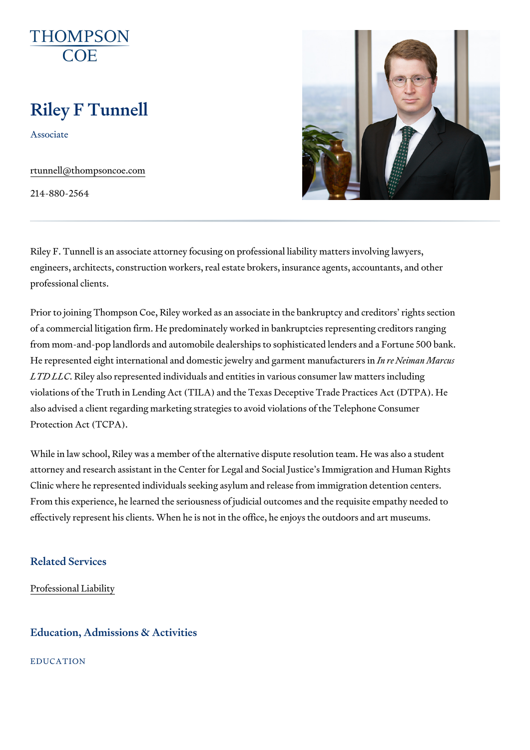# Riley F Tunnell

Associate

[rtunnell@thompso](mailto:rtunnell@thompsoncoe.com)ncoe.com

214-880-2564

Riley F. Tunnell is an associate attorney focusing on professional liability engineers, architects, construction workers, real estate brokers, insurance professional clients.

Prior to joining Thompson Coe, Riley worked as an associate in the bankru of a commercial litigation firm. He predominately worked in bankruptcies re from mom-and-pop landlords and automobile dealerships to sophisticated I He represented eight international and domestic jewen rive and diment manufacture and LTD LLCRiley also represented individuals and entities in various consumer violations of the Truth in Lending Act (TILA) and the Texas Deceptive Trad also advised a client regarding marketing strategies to avoid violations of Protection Act (TCPA).

While in law school, Riley was a member of the alternative dispute resolut attorney and research assistant in the Center for Legal and Social Justice Clinic where he represented individuals seeking asylum and release from i From this experience, he learned the seriousness of judicial outcomes and effectively represent his clients. When he is not in the office, he enjoys the

## Related Services

[Professional](https://www.thompsoncoe.com/people/riley-f-tunnell/) Liability

#### Education, Admissions & Activities

EDUCATION